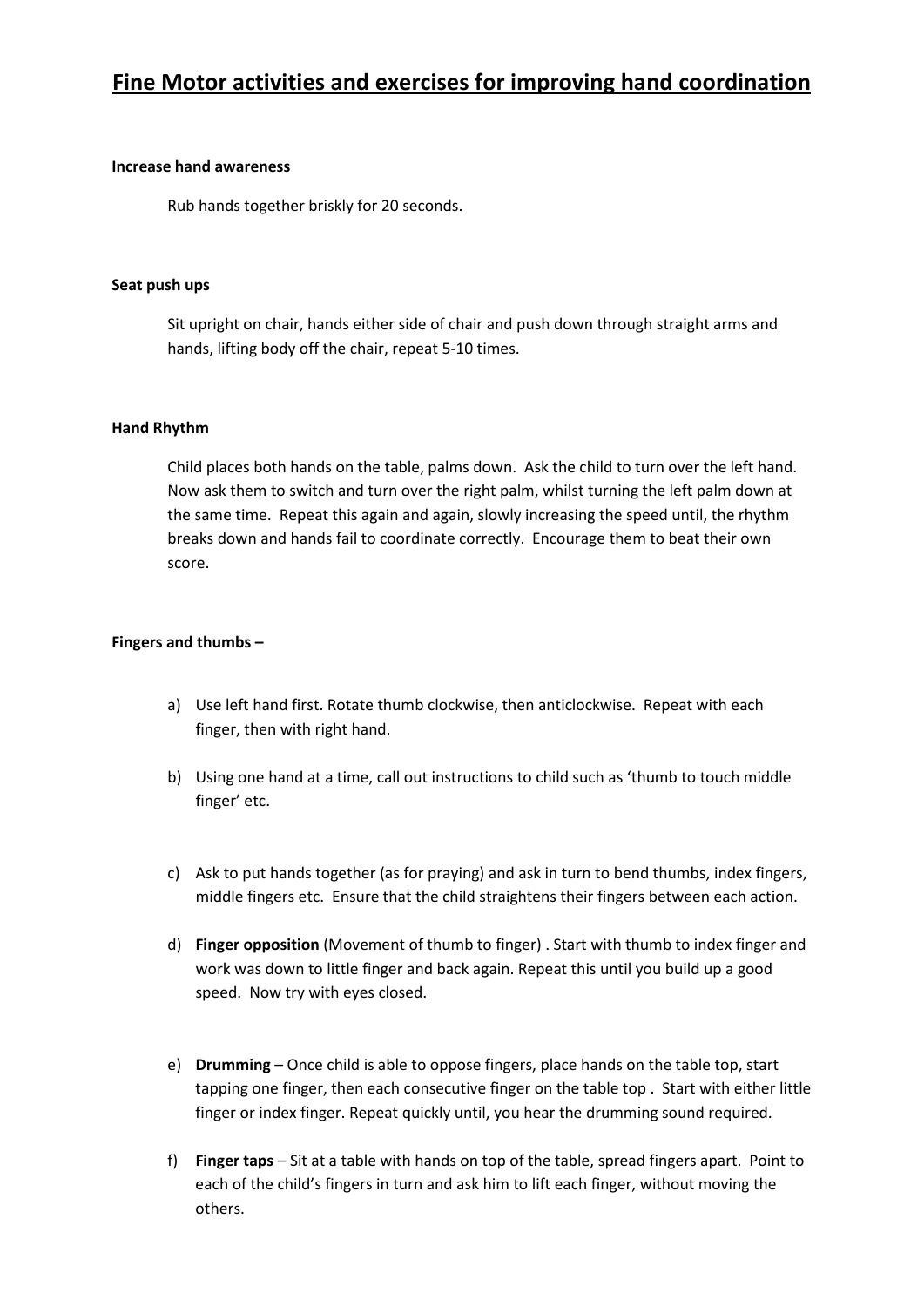# **Fine Motor activities and exercises for improving hand coordination**

### **Increase hand awareness**

Rub hands together briskly for 20 seconds.

### **Seat push ups**

Sit upright on chair, hands either side of chair and push down through straight arms and hands, lifting body off the chair, repeat 5-10 times.

# **Hand Rhythm**

 Child places both hands on the table, palms down. Ask the child to turn over the left hand. the same time. Repeat this again and again, slowly increasing the speed until, the rhythm breaks down and hands fail to coordinate correctly. Encourage them to beat their own Now ask them to switch and turn over the right palm, whilst turning the left palm down at score.

### **Fingers and thumbs –**

- a) Use left hand first. Rotate thumb clockwise, then anticlockwise. Repeat with each finger, then with right hand.
- b) Using one hand at a time, call out instructions to child such as 'thumb to touch middle finger' etc.
- c) Ask to put hands together (as for praying) and ask in turn to bend thumbs, index fingers, middle fingers etc. Ensure that the child straightens their fingers between each action.
- speed. Now try with eyes closed. d) **Finger opposition** (Movement of thumb to finger) . Start with thumb to index finger and work was down to little finger and back again. Repeat this until you build up a good
- e) **Drumming**  Once child is able to oppose fingers, place hands on the table top, start tapping one finger, then each consecutive finger on the table top . Start with either little finger or index finger. Repeat quickly until, you hear the drumming sound required.
- f) **Finger taps**  Sit at a table with hands on top of the table, spread fingers apart. Point to each of the child's fingers in turn and ask him to lift each finger, without moving the others.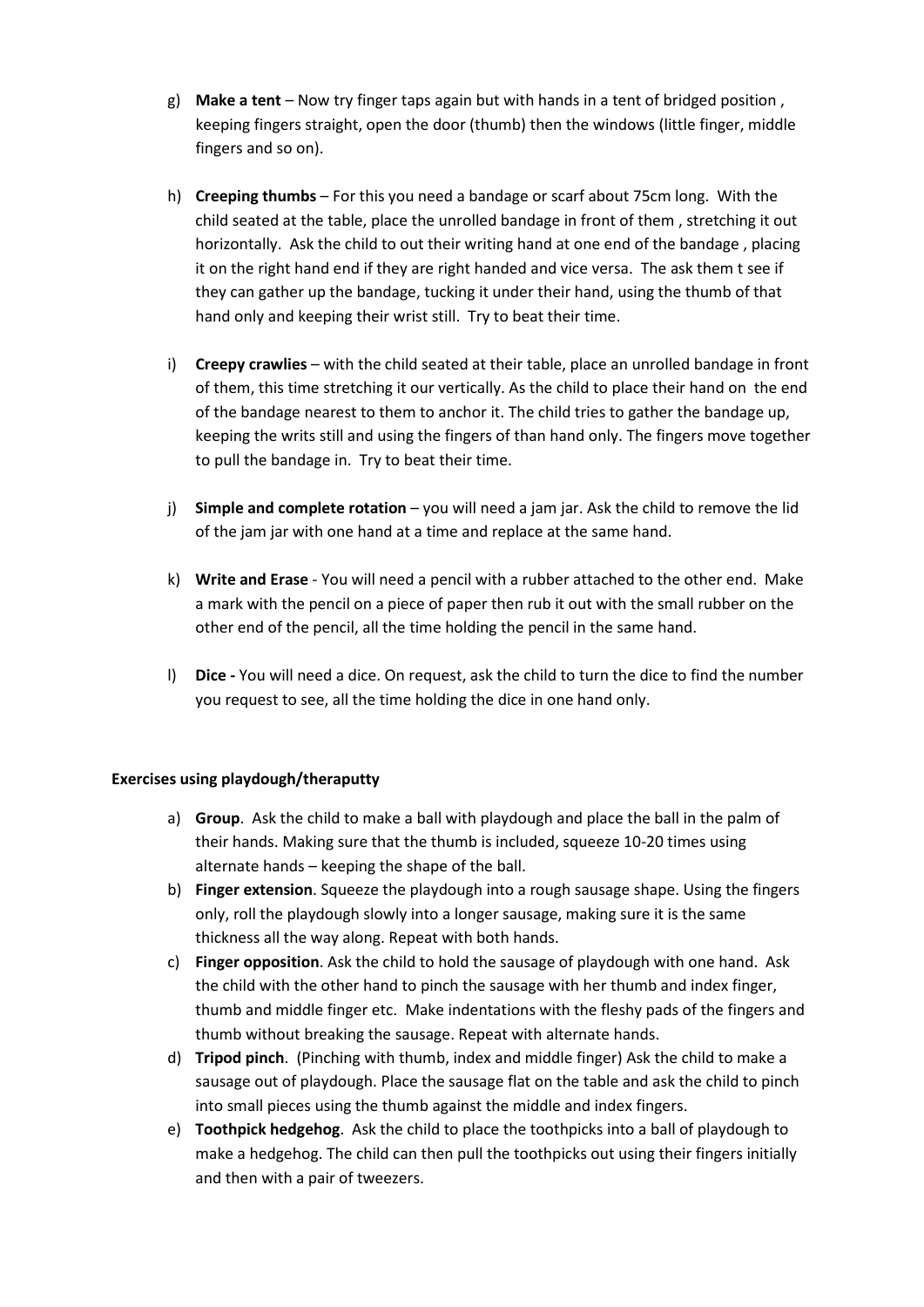- g) **Make a tent**  Now try finger taps again but with hands in a tent of bridged position , keeping fingers straight, open the door (thumb) then the windows (little finger, middle fingers and so on).
- h) **Creeping thumbs**  For this you need a bandage or scarf about 75cm long. With the horizontally. Ask the child to out their writing hand at one end of the bandage , placing it on the right hand end if they are right handed and vice versa. The ask them t see if hand only and keeping their wrist still. Try to beat their time. child seated at the table, place the unrolled bandage in front of them , stretching it out they can gather up the bandage, tucking it under their hand, using the thumb of that
- i) **Creepy crawlies**  with the child seated at their table, place an unrolled bandage in front of them, this time stretching it our vertically. As the child to place their hand on the end of the bandage nearest to them to anchor it. The child tries to gather the bandage up, to pull the bandage in. Try to beat their time. keeping the writs still and using the fingers of than hand only. The fingers move together
- j) **Simple and complete rotation**  you will need a jam jar. Ask the child to remove the lid of the jam jar with one hand at a time and replace at the same hand.
- k) **Write and Erase**  You will need a pencil with a rubber attached to the other end. Make a mark with the pencil on a piece of paper then rub it out with the small rubber on the other end of the pencil, all the time holding the pencil in the same hand.
- l) **Dice -** You will need a dice. On request, ask the child to turn the dice to find the number you request to see, all the time holding the dice in one hand only.

### **Exercises using playdough/theraputty**

- a) **Group**. Ask the child to make a ball with playdough and place the ball in the palm of their hands. Making sure that the thumb is included, squeeze 10-20 times using alternate hands – keeping the shape of the ball.
- only, roll the playdough slowly into a longer sausage, making sure it is the same b) **Finger extension**. Squeeze the playdough into a rough sausage shape. Using the fingers thickness all the way along. Repeat with both hands.
- c) **Finger opposition**. Ask the child to hold the sausage of playdough with one hand. Ask the child with the other hand to pinch the sausage with her thumb and index finger, thumb and middle finger etc. Make indentations with the fleshy pads of the fingers and thumb without breaking the sausage. Repeat with alternate hands.
- d) **Tripod pinch**. (Pinching with thumb, index and middle finger) Ask the child to make a sausage out of playdough. Place the sausage flat on the table and ask the child to pinch into small pieces using the thumb against the middle and index fingers.
- e) **Toothpick hedgehog**. Ask the child to place the toothpicks into a ball of playdough to make a hedgehog. The child can then pull the toothpicks out using their fingers initially and then with a pair of tweezers.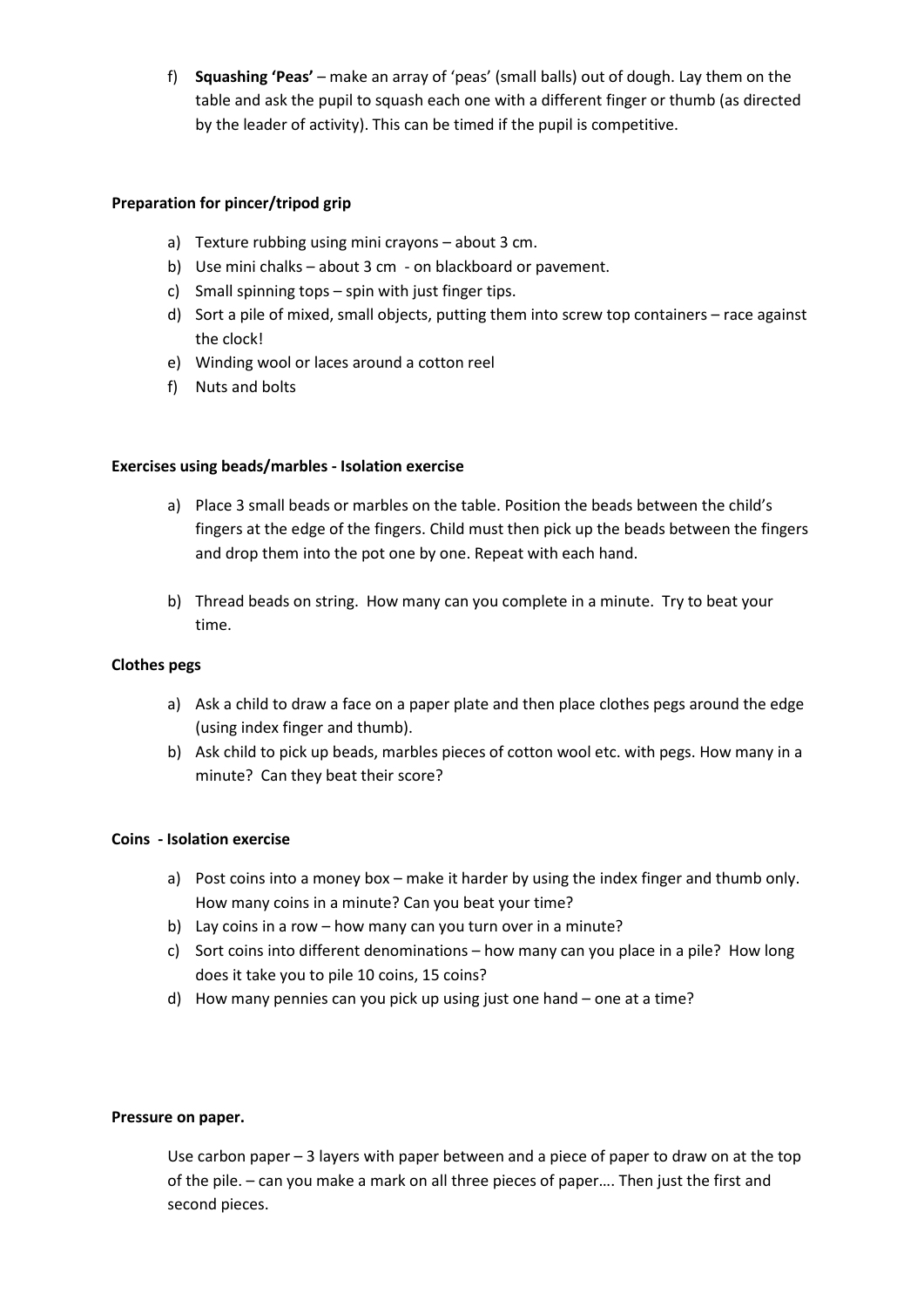f) **Squashing 'Peas'** – make an array of 'peas' (small balls) out of dough. Lay them on the table and ask the pupil to squash each one with a different finger or thumb (as directed by the leader of activity). This can be timed if the pupil is competitive.

# **Preparation for pincer/tripod grip**

- a) Texture rubbing using mini crayons about 3 cm.
- b) Use mini chalks about 3 cm on blackboard or pavement.
- c) Small spinning tops spin with just finger tips.
- d) Sort a pile of mixed, small objects, putting them into screw top containers race against the clock!
- e) Winding wool or laces around a cotton reel
- f) Nuts and bolts

### **Exercises using beads/marbles - Isolation exercise**

- a) Place 3 small beads or marbles on the table. Position the beads between the child's fingers at the edge of the fingers. Child must then pick up the beads between the fingers and drop them into the pot one by one. Repeat with each hand.
- b) Thread beads on string. How many can you complete in a minute. Try to beat your time.

### **Clothes pegs**

- a) Ask a child to draw a face on a paper plate and then place clothes pegs around the edge (using index finger and thumb).
- b) Ask child to pick up beads, marbles pieces of cotton wool etc. with pegs. How many in a minute? Can they beat their score?

### **Coins - Isolation exercise**

- a) Post coins into a money box make it harder by using the index finger and thumb only. How many coins in a minute? Can you beat your time?
- b) Lay coins in a row how many can you turn over in a minute?
- c) Sort coins into different denominations how many can you place in a pile? How long does it take you to pile 10 coins, 15 coins?
- d) How many pennies can you pick up using just one hand one at a time?

### **Pressure on paper.**

 Use carbon paper – 3 layers with paper between and a piece of paper to draw on at the top of the pile. – can you make a mark on all three pieces of paper…. Then just the first and second pieces.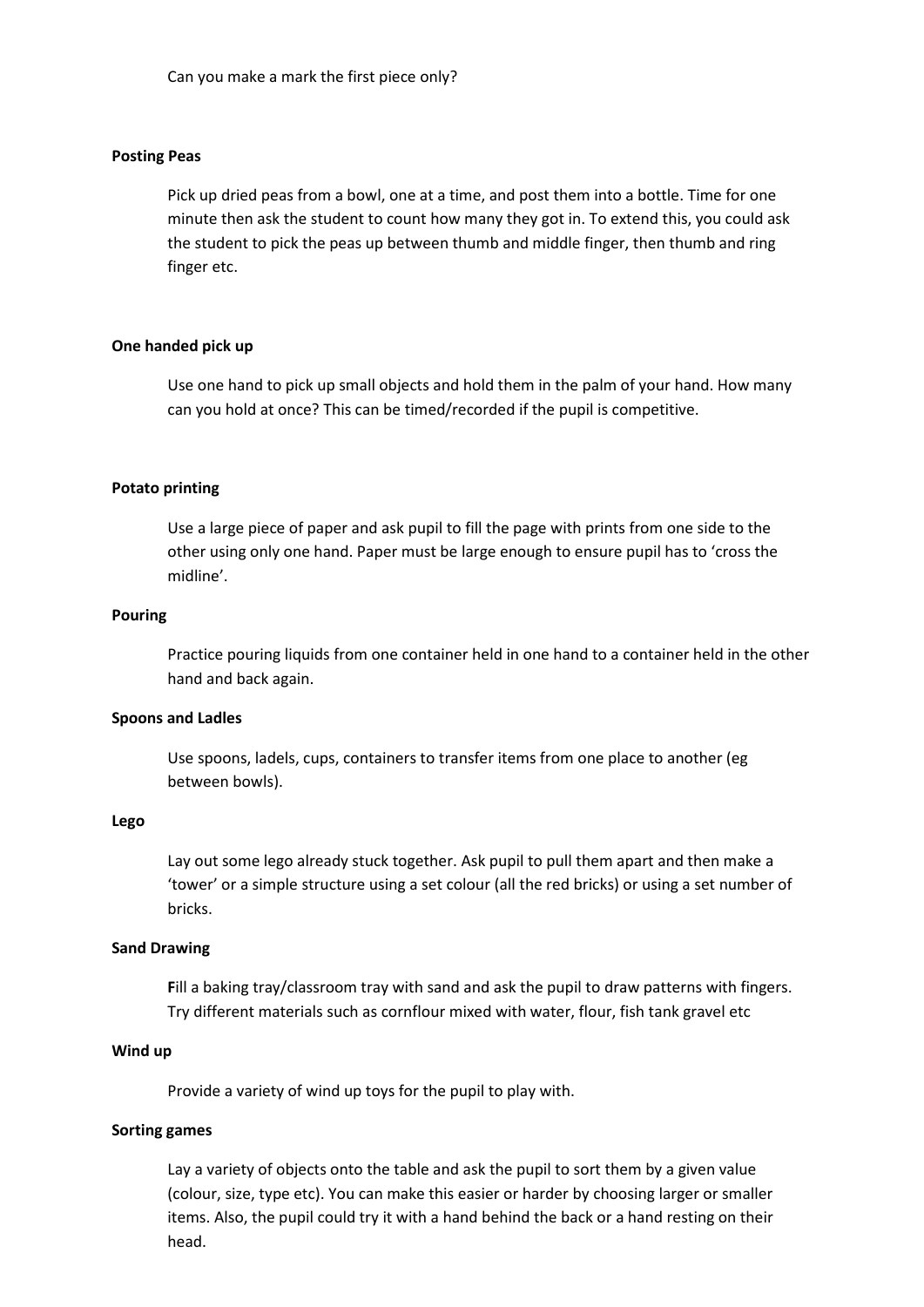### **Posting Peas**

 Pick up dried peas from a bowl, one at a time, and post them into a bottle. Time for one minute then ask the student to count how many they got in. To extend this, you could ask the student to pick the peas up between thumb and middle finger, then thumb and ring finger etc.

#### **One handed pick up**

 Use one hand to pick up small objects and hold them in the palm of your hand. How many can you hold at once? This can be timed/recorded if the pupil is competitive.

### **Potato printing**

 Use a large piece of paper and ask pupil to fill the page with prints from one side to the other using only one hand. Paper must be large enough to ensure pupil has to 'cross the midline'.

#### **Pouring**

Practice pouring liquids from one container held in one hand to a container held in the other hand and back again.

#### **Spoons and Ladles**

Use spoons, ladels, cups, containers to transfer items from one place to another (eg between bowls).

#### **Lego**

 Lay out some lego already stuck together. Ask pupil to pull them apart and then make a 'tower' or a simple structure using a set colour (all the red bricks) or using a set number of bricks.

#### **Sand Drawing**

 **F**ill a baking tray/classroom tray with sand and ask the pupil to draw patterns with fingers. Try different materials such as cornflour mixed with water, flour, fish tank gravel etc

#### **Wind up**

Provide a variety of wind up toys for the pupil to play with.

### **Sorting games**

 Lay a variety of objects onto the table and ask the pupil to sort them by a given value (colour, size, type etc). You can make this easier or harder by choosing larger or smaller items. Also, the pupil could try it with a hand behind the back or a hand resting on their head.